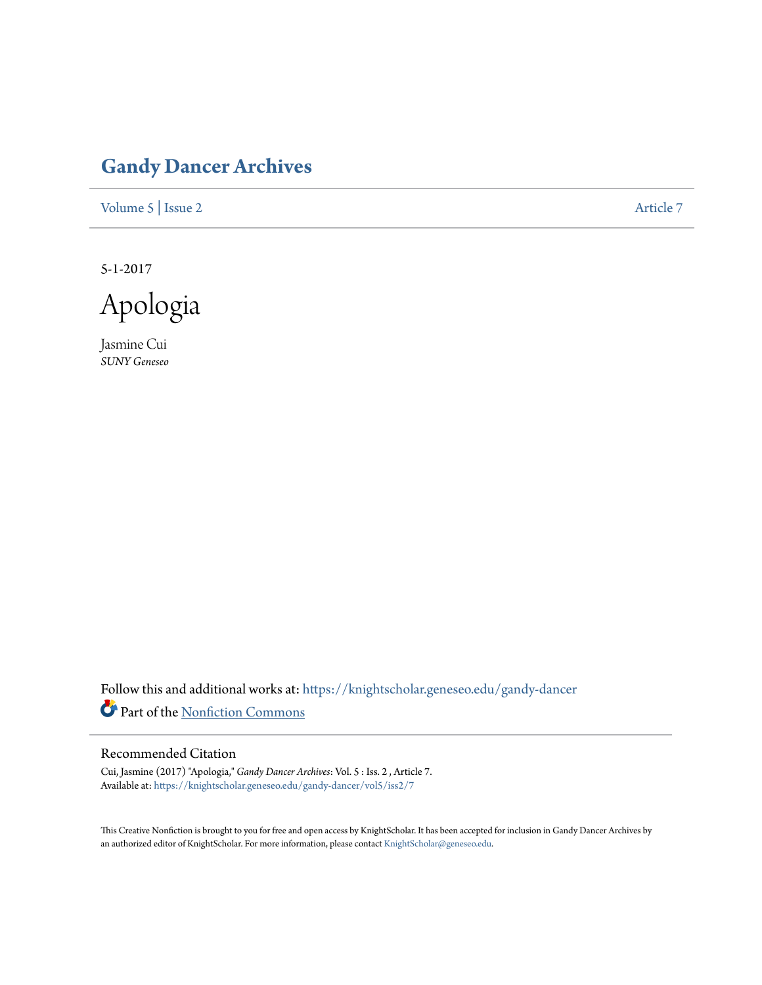## **[Gandy Dancer Archives](https://knightscholar.geneseo.edu/gandy-dancer?utm_source=knightscholar.geneseo.edu%2Fgandy-dancer%2Fvol5%2Fiss2%2F7&utm_medium=PDF&utm_campaign=PDFCoverPages)**

[Volume 5](https://knightscholar.geneseo.edu/gandy-dancer/vol5?utm_source=knightscholar.geneseo.edu%2Fgandy-dancer%2Fvol5%2Fiss2%2F7&utm_medium=PDF&utm_campaign=PDFCoverPages) | [Issue 2](https://knightscholar.geneseo.edu/gandy-dancer/vol5/iss2?utm_source=knightscholar.geneseo.edu%2Fgandy-dancer%2Fvol5%2Fiss2%2F7&utm_medium=PDF&utm_campaign=PDFCoverPages) [Article 7](https://knightscholar.geneseo.edu/gandy-dancer/vol5/iss2/7?utm_source=knightscholar.geneseo.edu%2Fgandy-dancer%2Fvol5%2Fiss2%2F7&utm_medium=PDF&utm_campaign=PDFCoverPages)

5-1-2017

Apologia

Jasmine Cui *SUNY Geneseo*

Follow this and additional works at: [https://knightscholar.geneseo.edu/gandy-dancer](https://knightscholar.geneseo.edu/gandy-dancer?utm_source=knightscholar.geneseo.edu%2Fgandy-dancer%2Fvol5%2Fiss2%2F7&utm_medium=PDF&utm_campaign=PDFCoverPages) Part of the [Nonfiction Commons](http://network.bepress.com/hgg/discipline/1152?utm_source=knightscholar.geneseo.edu%2Fgandy-dancer%2Fvol5%2Fiss2%2F7&utm_medium=PDF&utm_campaign=PDFCoverPages)

## Recommended Citation

Cui, Jasmine (2017) "Apologia," *Gandy Dancer Archives*: Vol. 5 : Iss. 2 , Article 7. Available at: [https://knightscholar.geneseo.edu/gandy-dancer/vol5/iss2/7](https://knightscholar.geneseo.edu/gandy-dancer/vol5/iss2/7?utm_source=knightscholar.geneseo.edu%2Fgandy-dancer%2Fvol5%2Fiss2%2F7&utm_medium=PDF&utm_campaign=PDFCoverPages)

This Creative Nonfiction is brought to you for free and open access by KnightScholar. It has been accepted for inclusion in Gandy Dancer Archives by an authorized editor of KnightScholar. For more information, please contact [KnightScholar@geneseo.edu](mailto:KnightScholar@geneseo.edu).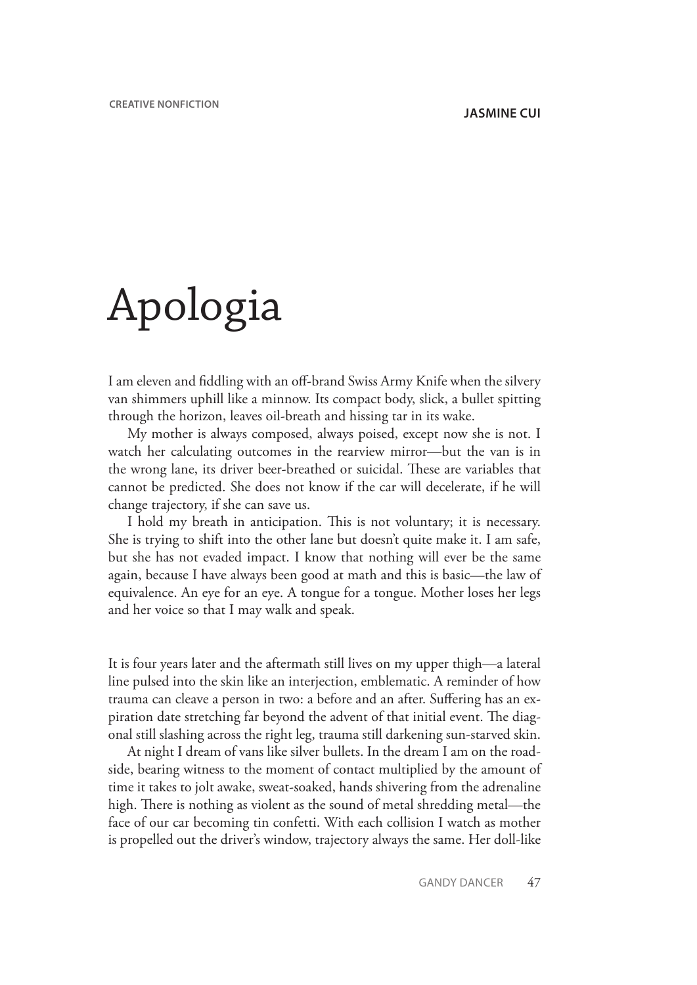## Apologia

I am eleven and fiddling with an off-brand Swiss Army Knife when the silvery van shimmers uphill like a minnow. Its compact body, slick, a bullet spitting through the horizon, leaves oil-breath and hissing tar in its wake.

My mother is always composed, always poised, except now she is not. I watch her calculating outcomes in the rearview mirror—but the van is in the wrong lane, its driver beer-breathed or suicidal. These are variables that cannot be predicted. She does not know if the car will decelerate, if he will change trajectory, if she can save us.

I hold my breath in anticipation. This is not voluntary; it is necessary. She is trying to shift into the other lane but doesn't quite make it. I am safe, but she has not evaded impact. I know that nothing will ever be the same again, because I have always been good at math and this is basic—the law of equivalence. An eye for an eye. A tongue for a tongue. Mother loses her legs and her voice so that I may walk and speak.

It is four years later and the aftermath still lives on my upper thigh—a lateral line pulsed into the skin like an interjection, emblematic. A reminder of how trauma can cleave a person in two: a before and an after. Suffering has an expiration date stretching far beyond the advent of that initial event. The diagonal still slashing across the right leg, trauma still darkening sun-starved skin.

At night I dream of vans like silver bullets. In the dream I am on the roadside, bearing witness to the moment of contact multiplied by the amount of time it takes to jolt awake, sweat-soaked, hands shivering from the adrenaline high. There is nothing as violent as the sound of metal shredding metal—the face of our car becoming tin confetti. With each collision I watch as mother is propelled out the driver's window, trajectory always the same. Her doll-like